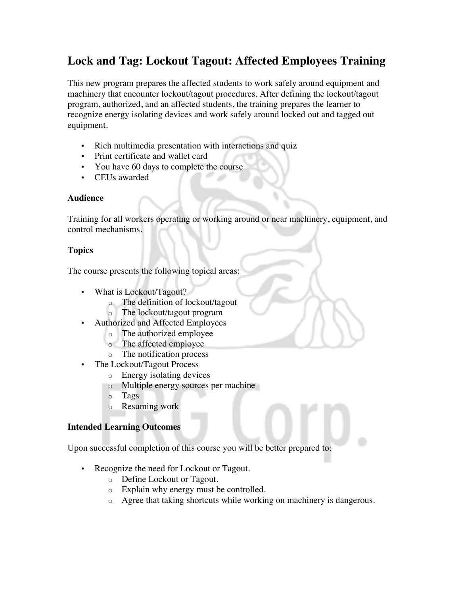# **Lock and Tag: Lockout Tagout: Affected Employees Training**

This new program prepares the affected students to work safely around equipment and machinery that encounter lockout/tagout procedures. After defining the lockout/tagout program, authorized, and an affected students, the training prepares the learner to recognize energy isolating devices and work safely around locked out and tagged out equipment.

- Rich multimedia presentation with interactions and quiz
- Print certificate and wallet card
- You have 60 days to complete the course
- CEUs awarded

## **Audience**

Training for all workers operating or working around or near machinery, equipment, and control mechanisms.

# **Topics**

The course presents the following topical areas:

- What is Lockout/Tagout?
	- o The definition of lockout/tagout
	- o The lockout/tagout program
- Authorized and Affected Employees
	- o The authorized employee
	- o The affected employee
	- o The notification process
- The Lockout/Tagout Process
	- o Energy isolating devices
	- o Multiple energy sources per machine
	- o Tags
	- o Resuming work

## **Intended Learning Outcomes**

Upon successful completion of this course you will be better prepared to:

- Recognize the need for Lockout or Tagout.
	- o Define Lockout or Tagout.
	- o Explain why energy must be controlled.
	- o Agree that taking shortcuts while working on machinery is dangerous.